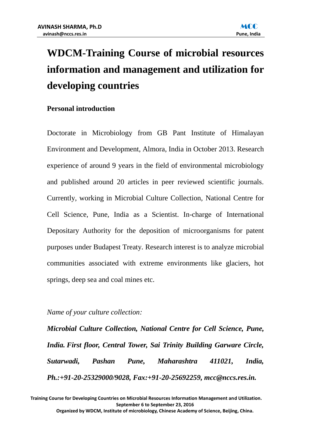

# **WDCM-Training Course of microbial resources information and management and utilization for developing countries**

# **Personal introduction**

Doctorate in Microbiology from GB Pant Institute of Himalayan Environment and Development, Almora, India in October 2013. Research experience of around 9 years in the field of environmental microbiology and published around 20 articles in peer reviewed scientific journals. Currently, working in Microbial Culture Collection, National Centre for Cell Science, Pune, India as a Scientist. In-charge of International Depositary Authority for the deposition of microorganisms for patent purposes under Budapest Treaty. Research interest is to analyze microbial communities associated with extreme environments like glaciers, hot springs, deep sea and coal mines etc.

#### *Name of your culture collection:*

*Microbial Culture Collection, National Centre for Cell Science, Pune, India. First floor, Central Tower, Sai Trinity Building Garware Circle, Sutarwadi, Pashan Pune, Maharashtra 411021, India, Ph.:+91-20-25329000/9028, Fax:+91-20-25692259, mcc@nccs.res.in.*

**Training Course for Developing Countries on Microbial Resources Information Management and Utilization. September 6 to September 23, 2016 Organized by WDCM, Institute of microbiology, Chinese Academy of Science, Beijing, China.**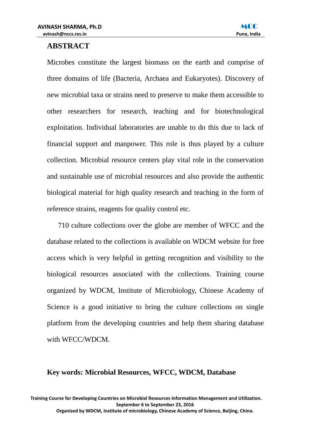

# **ABSTRACT**

Microbes constitute the largest biomass on the earth and comprise of three domains of life (Bacteria, Archaea and Eukaryotes). Discovery of new microbial taxa or strains need to preserve to make them accessible to other researchers for research, teaching and for biotechnological exploitation. Individual laboratories are unable to do this due to lack of financial support and manpower. This role is thus played by a culture collection. Microbial resource centers play vital role in the conservation and sustainable use of microbial resources and also provide the authentic biological material for high quality research and teaching in the form of reference strains, reagents for quality control etc.

710 culture collections over the globe are member of WFCC and the database related to the collections is available on WDCM website for free access which is very helpful in getting recognition and visibility to the biological resources associated with the collections. Training course organized by WDCM, Institute of Microbiology, Chinese Academy of Science is a good initiative to bring the culture collections on single platform from the developing countries and help them sharing database with WFCC/WDCM.

# **Key words: Microbial Resources, WFCC, WDCM, Database**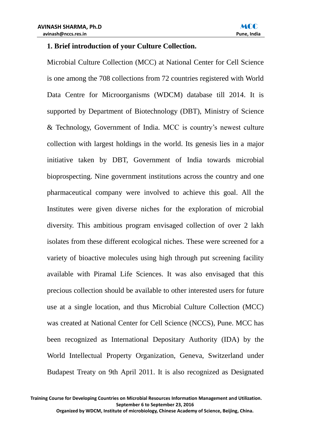#### **1. Brief introduction of your Culture Collection.**

Microbial Culture Collection (MCC) at National Center for Cell Science is one among the 708 collections from 72 countries registered with World Data Centre for Microorganisms (WDCM) database till 2014. It is supported by Department of Biotechnology (DBT), Ministry of Science & Technology, Government of India. MCC is country's newest culture collection with largest holdings in the world. Its genesis lies in a major initiative taken by DBT, Government of India towards microbial bioprospecting. Nine government institutions across the country and one pharmaceutical company were involved to achieve this goal. All the Institutes were given diverse niches for the exploration of microbial diversity. This ambitious program envisaged collection of over 2 lakh isolates from these different ecological niches. These were screened for a variety of bioactive molecules using high through put screening facility available with Piramal Life Sciences. It was also envisaged that this precious collection should be available to other interested users for future use at a single location, and thus Microbial Culture Collection (MCC) was created at National Center for Cell Science (NCCS), Pune. MCC has been recognized as International Depositary Authority (IDA) by the World Intellectual Property Organization, Geneva, Switzerland under Budapest Treaty on 9th April 2011. It is also recognized as Designated

**Training Course for Developing Countries on Microbial Resources Information Management and Utilization. September 6 to September 23, 2016**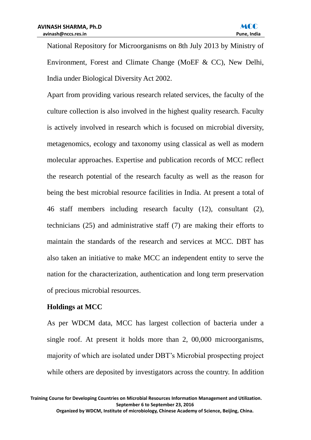National Repository for Microorganisms on 8th July 2013 by Ministry of Environment, Forest and Climate Change (MoEF & CC), New Delhi, India under Biological Diversity Act 2002.

Apart from providing various research related services, the faculty of the culture collection is also involved in the highest quality research. Faculty is actively involved in research which is focused on microbial diversity, metagenomics, ecology and taxonomy using classical as well as modern molecular approaches. Expertise and publication records of MCC reflect the research potential of the research faculty as well as the reason for being the best microbial resource facilities in India. At present a total of 46 staff members including research faculty (12), consultant (2), technicians (25) and administrative staff (7) are making their efforts to maintain the standards of the research and services at MCC. DBT has also taken an initiative to make MCC an independent entity to serve the nation for the characterization, authentication and long term preservation of precious microbial resources.

#### **Holdings at MCC**

As per WDCM data, MCC has largest collection of bacteria under a single roof. At present it holds more than 2, 00,000 microorganisms, majority of which are isolated under DBT's Microbial prospecting project while others are deposited by investigators across the country. In addition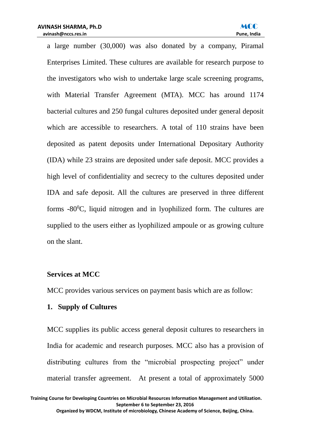

a large number (30,000) was also donated by a company, Piramal Enterprises Limited. These cultures are available for research purpose to the investigators who wish to undertake large scale screening programs, with Material Transfer Agreement (MTA). MCC has around 1174 bacterial cultures and 250 fungal cultures deposited under general deposit which are accessible to researchers. A total of 110 strains have been deposited as patent deposits under International Depositary Authority (IDA) while 23 strains are deposited under safe deposit. MCC provides a high level of confidentiality and secrecy to the cultures deposited under IDA and safe deposit. All the cultures are preserved in three different forms  $-80^{\circ}$ C, liquid nitrogen and in lyophilized form. The cultures are supplied to the users either as lyophilized ampoule or as growing culture on the slant.

#### **Services at MCC**

MCC provides various services on payment basis which are as follow:

#### **1. Supply of Cultures**

MCC supplies its public access general deposit cultures to researchers in India for academic and research purposes. MCC also has a provision of distributing cultures from the "microbial prospecting project" under material transfer agreement. At present a total of approximately 5000

**Training Course for Developing Countries on Microbial Resources Information Management and Utilization. September 6 to September 23, 2016**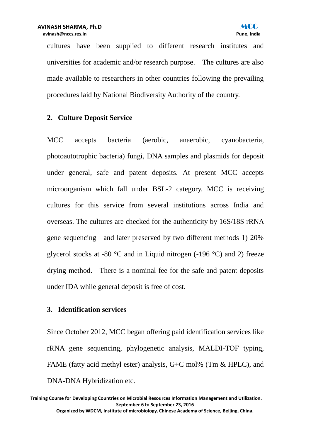cultures have been supplied to different research institutes and universities for academic and/or research purpose. The cultures are also made available to researchers in other countries following the prevailing procedures laid by National Biodiversity Authority of the country.

# **2. Culture Deposit Service**

MCC accepts bacteria (aerobic, anaerobic, cyanobacteria, photoautotrophic bacteria) fungi, DNA samples and plasmids for deposit under general, safe and patent deposits. At present MCC accepts microorganism which fall under BSL-2 category. MCC is receiving cultures for this service from several institutions across India and overseas. The cultures are checked for the authenticity by 16S/18S rRNA gene sequencing and later preserved by two different methods 1) 20% glycerol stocks at -80  $\degree$ C and in Liquid nitrogen (-196  $\degree$ C) and 2) freeze drying method. There is a nominal fee for the safe and patent deposits under IDA while general deposit is free of cost.

# **3. Identification services**

Since October 2012, MCC began offering paid identification services like rRNA gene sequencing, phylogenetic analysis, MALDI-TOF typing, FAME (fatty acid methyl ester) analysis, G+C mol% (Tm & HPLC), and DNA-DNA Hybridization etc.

**Training Course for Developing Countries on Microbial Resources Information Management and Utilization. September 6 to September 23, 2016 Organized by WDCM, Institute of microbiology, Chinese Academy of Science, Beijing, China.**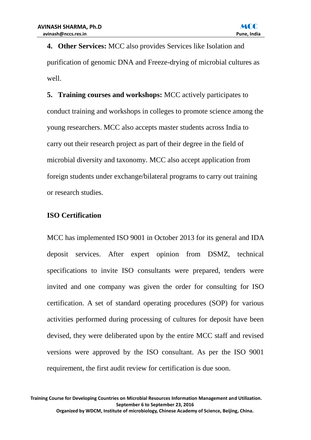**4. Other Services:** MCC also provides Services like Isolation and purification of genomic DNA and Freeze-drying of microbial cultures as well.

**5. Training courses and workshops:** MCC actively participates to conduct training and workshops in colleges to promote science among the young researchers. MCC also accepts master students across India to carry out their research project as part of their degree in the field of microbial diversity and taxonomy. MCC also accept application from foreign students under exchange/bilateral programs to carry out training or research studies.

# **ISO Certification**

MCC has implemented ISO 9001 in October 2013 for its general and IDA deposit services. After expert opinion from DSMZ, technical specifications to invite ISO consultants were prepared, tenders were invited and one company was given the order for consulting for ISO certification. A set of standard operating procedures (SOP) for various activities performed during processing of cultures for deposit have been devised, they were deliberated upon by the entire MCC staff and revised versions were approved by the ISO consultant. As per the ISO 9001 requirement, the first audit review for certification is due soon.

**Training Course for Developing Countries on Microbial Resources Information Management and Utilization. September 6 to September 23, 2016**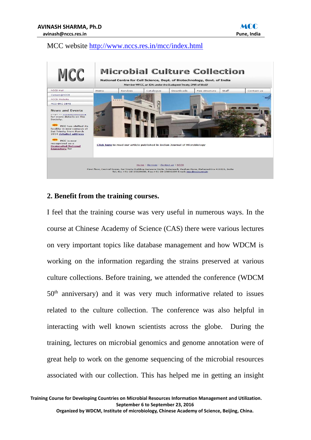

#### MCC website<http://www.nccs.res.in/mcc/index.html>



#### **2. Benefit from the training courses.**

I feel that the training course was very useful in numerous ways. In the course at Chinese Academy of Science (CAS) there were various lectures on very important topics like database management and how WDCM is working on the information regarding the strains preserved at various culture collections. Before training, we attended the conference (WDCM 50th anniversary) and it was very much informative related to issues related to the culture collection. The conference was also helpful in interacting with well known scientists across the globe. During the training, lectures on microbial genomics and genome annotation were of great help to work on the genome sequencing of the microbial resources associated with our collection. This has helped me in getting an insight

**Training Course for Developing Countries on Microbial Resources Information Management and Utilization. September 6 to September 23, 2016**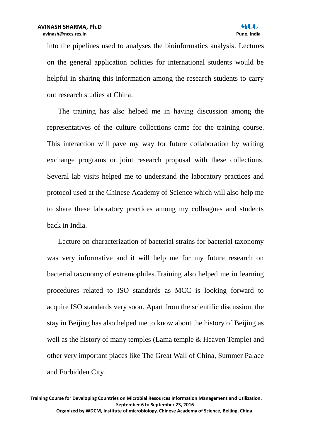into the pipelines used to analyses the bioinformatics analysis. Lectures on the general application policies for international students would be helpful in sharing this information among the research students to carry out research studies at China.

The training has also helped me in having discussion among the representatives of the culture collections came for the training course. This interaction will pave my way for future collaboration by writing exchange programs or joint research proposal with these collections. Several lab visits helped me to understand the laboratory practices and protocol used at the Chinese Academy of Science which will also help me to share these laboratory practices among my colleagues and students back in India.

Lecture on characterization of bacterial strains for bacterial taxonomy was very informative and it will help me for my future research on bacterial taxonomy of extremophiles.Training also helped me in learning procedures related to ISO standards as MCC is looking forward to acquire ISO standards very soon. Apart from the scientific discussion, the stay in Beijing has also helped me to know about the history of Beijing as well as the history of many temples (Lama temple & Heaven Temple) and other very important places like The Great Wall of China, Summer Palace and Forbidden City.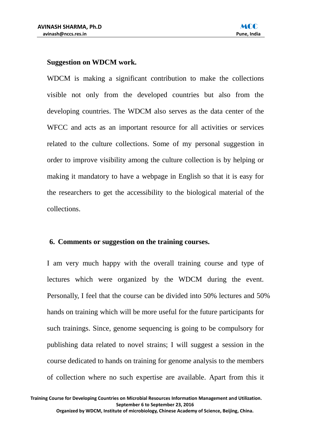#### **Suggestion on WDCM work.**

WDCM is making a significant contribution to make the collections visible not only from the developed countries but also from the developing countries. The WDCM also serves as the data center of the WFCC and acts as an important resource for all activities or services related to the culture collections. Some of my personal suggestion in order to improve visibility among the culture collection is by helping or making it mandatory to have a webpage in English so that it is easy for the researchers to get the accessibility to the biological material of the collections.

#### **6. Comments or suggestion on the training courses.**

I am very much happy with the overall training course and type of lectures which were organized by the WDCM during the event. Personally, I feel that the course can be divided into 50% lectures and 50% hands on training which will be more useful for the future participants for such trainings. Since, genome sequencing is going to be compulsory for publishing data related to novel strains; I will suggest a session in the course dedicated to hands on training for genome analysis to the members of collection where no such expertise are available. Apart from this it

**Training Course for Developing Countries on Microbial Resources Information Management and Utilization. September 6 to September 23, 2016**